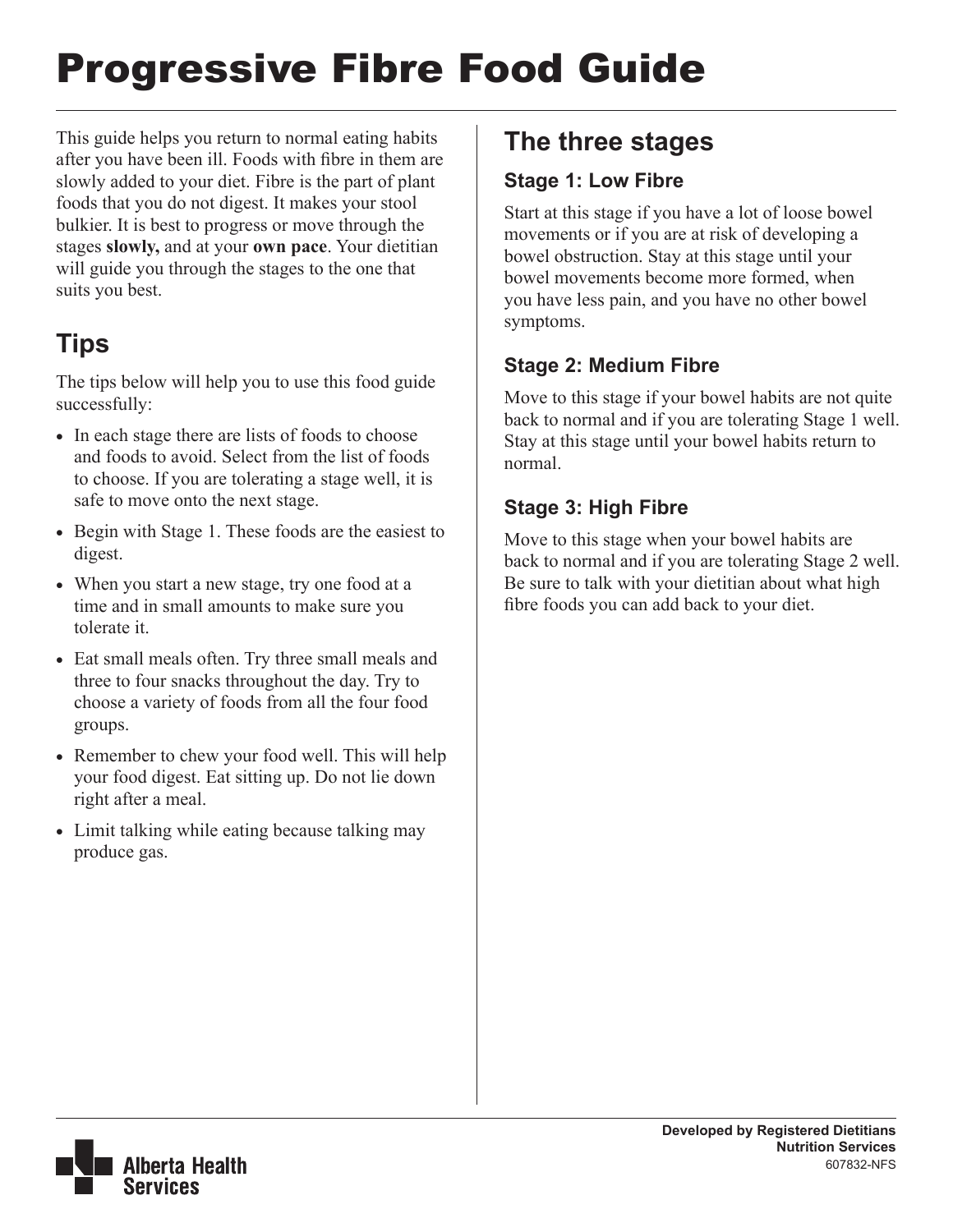# Progressive Fibre Food Guide

This guide helps you return to normal eating habits after you have been ill. Foods with fibre in them are slowly added to your diet. Fibre is the part of plant foods that you do not digest. It makes your stool bulkier. It is best to progress or move through the stages **slowly,** and at your **own pace**. Your dietitian will guide you through the stages to the one that suits you best.

# **Tips**

The tips below will help you to use this food guide successfully:

- In each stage there are lists of foods to choose and foods to avoid. Select from the list of foods to choose. If you are tolerating a stage well, it is safe to move onto the next stage.
- Begin with Stage 1. These foods are the easiest to digest.
- When you start a new stage, try one food at a time and in small amounts to make sure you tolerate it.
- Eat small meals often. Try three small meals and three to four snacks throughout the day. Try to choose a variety of foods from all the four food groups.
- Remember to chew your food well. This will help your food digest. Eat sitting up. Do not lie down right after a meal.
- Limit talking while eating because talking may produce gas.

## **The three stages**

### **Stage 1: Low Fibre**

Start at this stage if you have a lot of loose bowel movements or if you are at risk of developing a bowel obstruction. Stay at this stage until your bowel movements become more formed, when you have less pain, and you have no other bowel symptoms.

### **Stage 2: Medium Fibre**

Move to this stage if your bowel habits are not quite back to normal and if you are tolerating Stage 1 well. Stay at this stage until your bowel habits return to normal.

### **Stage 3: High Fibre**

Move to this stage when your bowel habits are back to normal and if you are tolerating Stage 2 well. Be sure to talk with your dietitian about what high fibre foods you can add back to your diet.

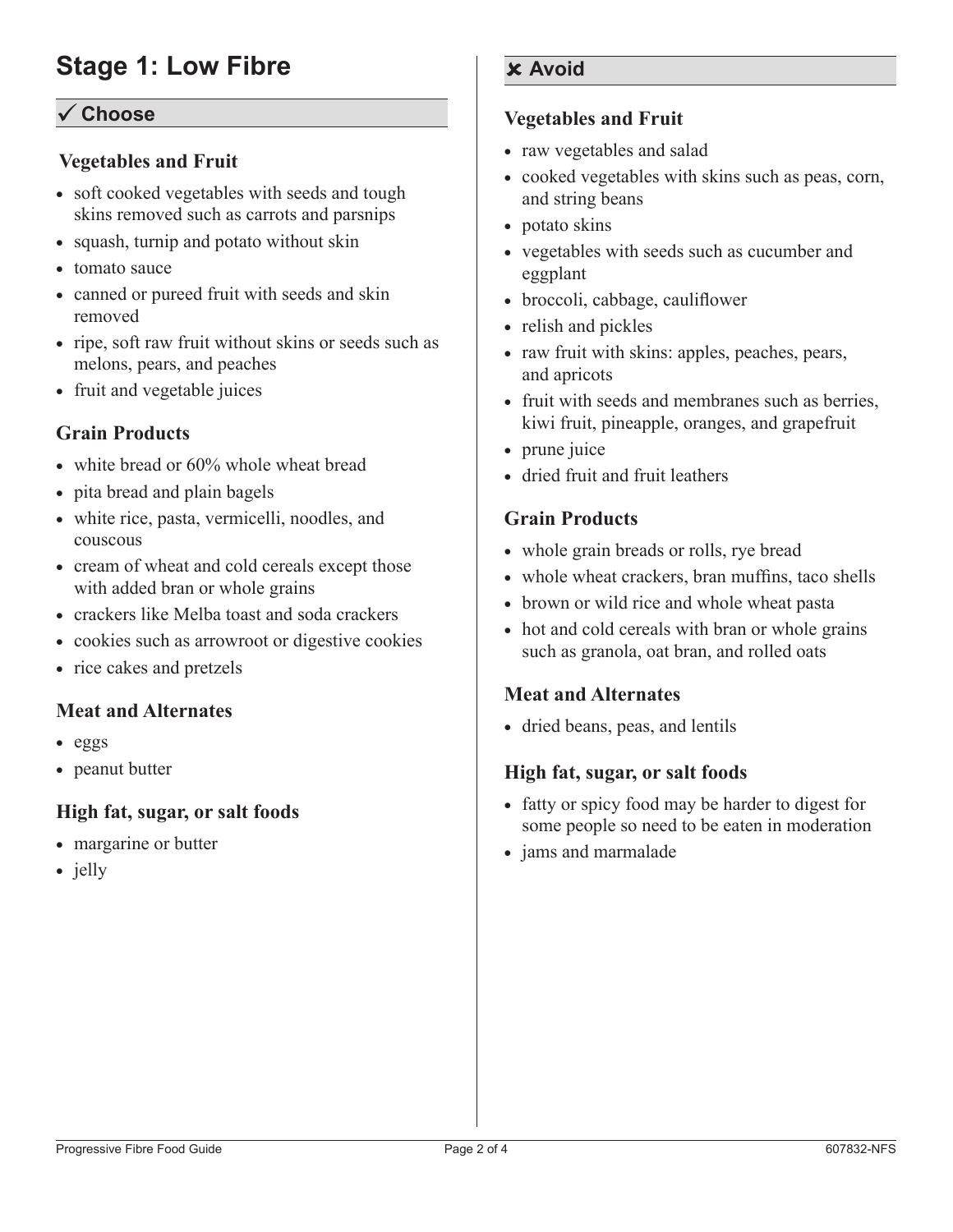## **Stage 1: Low Fibre**

#### ü **Choose**

#### **Vegetables and Fruit**

- soft cooked vegetables with seeds and tough skins removed such as carrots and parsnips
- squash, turnip and potato without skin
- tomato sauce
- canned or pureed fruit with seeds and skin removed
- ripe, soft raw fruit without skins or seeds such as melons, pears, and peaches
- fruit and vegetable juices

#### **Grain Products**

- white bread or 60% whole wheat bread
- pita bread and plain bagels
- white rice, pasta, vermicelli, noodles, and couscous
- cream of wheat and cold cereals except those with added bran or whole grains
- crackers like Melba toast and soda crackers
- cookies such as arrowroot or digestive cookies
- rice cakes and pretzels

#### **Meat and Alternates**

- • eggs
- peanut butter

#### **High fat, sugar, or salt foods**

- margarine or butter
- jelly

#### **Avoid**

#### **Vegetables and Fruit**

- raw vegetables and salad
- • cooked vegetables with skins such as peas, corn, and string beans
- potato skins
- vegetables with seeds such as cucumber and eggplant
- broccoli, cabbage, cauliflower
- relish and pickles
- raw fruit with skins: apples, peaches, pears, and apricots
- fruit with seeds and membranes such as berries, kiwi fruit, pineapple, oranges, and grapefruit
- prune juice
- dried fruit and fruit leathers

#### **Grain Products**

- whole grain breads or rolls, rye bread
- whole wheat crackers, bran muffins, taco shells
- brown or wild rice and whole wheat pasta
- hot and cold cereals with bran or whole grains such as granola, oat bran, and rolled oats

#### **Meat and Alternates**

• dried beans, peas, and lentils

#### **High fat, sugar, or salt foods**

- fatty or spicy food may be harder to digest for some people so need to be eaten in moderation
- jams and marmalade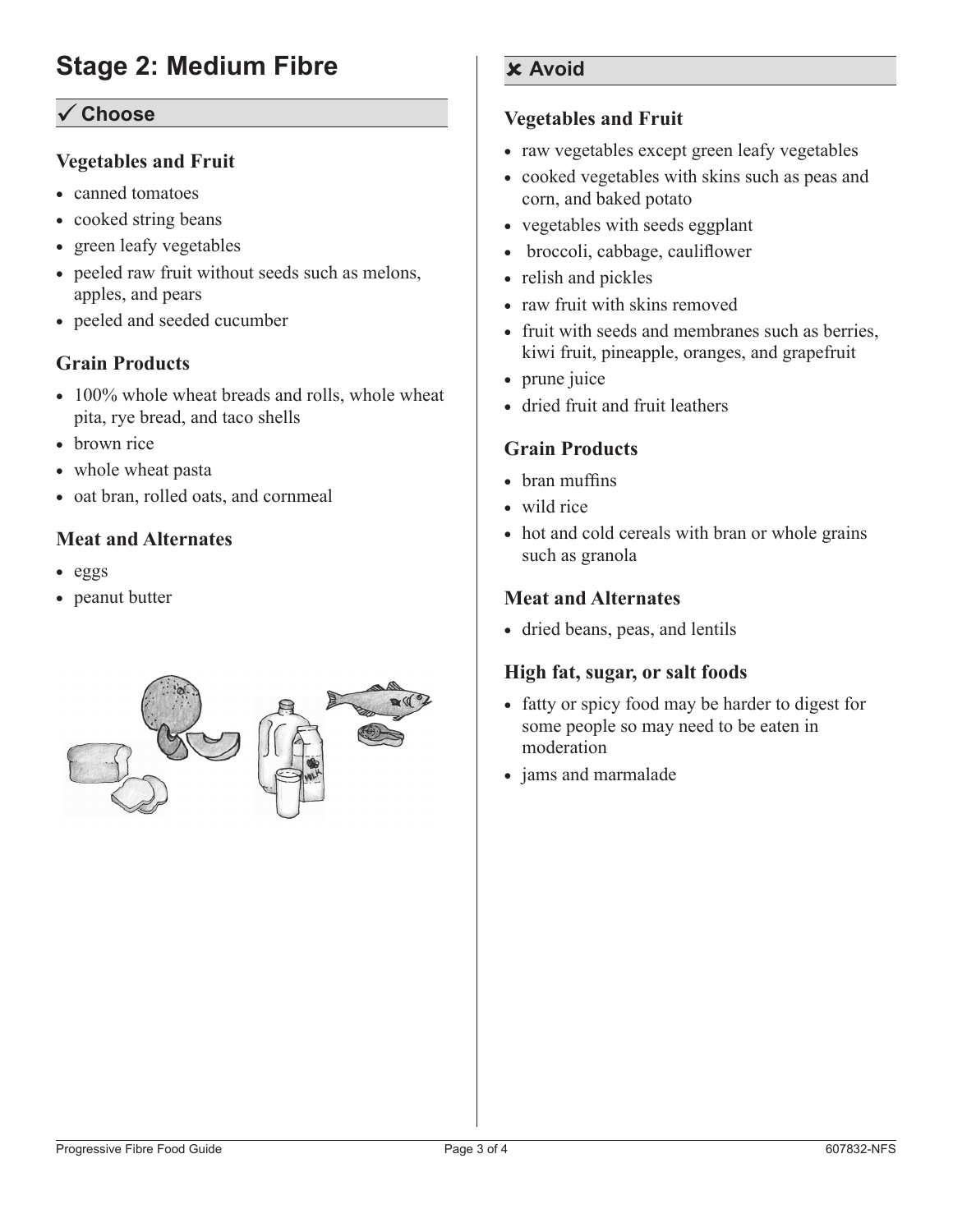#### ü **Choose**

#### **Vegetables and Fruit**

- canned tomatoes
- cooked string beans
- green leafy vegetables
- peeled raw fruit without seeds such as melons, apples, and pears
- peeled and seeded cucumber

#### **Grain Products**

- 100% whole wheat breads and rolls, whole wheat pita, rye bread, and taco shells
- brown rice
- whole wheat pasta
- oat bran, rolled oats, and cornmeal

#### **Meat and Alternates**

- • eggs
- peanut butter



#### **Avoid**

#### **Vegetables and Fruit**

- raw vegetables except green leafy vegetables
- cooked vegetables with skins such as peas and corn, and baked potato
- vegetables with seeds eggplant
- broccoli, cabbage, cauliflower
- relish and pickles
- raw fruit with skins removed
- fruit with seeds and membranes such as berries. kiwi fruit, pineapple, oranges, and grapefruit
- prune juice
- dried fruit and fruit leathers

#### **Grain Products**

- bran muffins
- wild rice
- hot and cold cereals with bran or whole grains such as granola

#### **Meat and Alternates**

• dried beans, peas, and lentils

#### **High fat, sugar, or salt foods**

- fatty or spicy food may be harder to digest for some people so may need to be eaten in moderation
- jams and marmalade